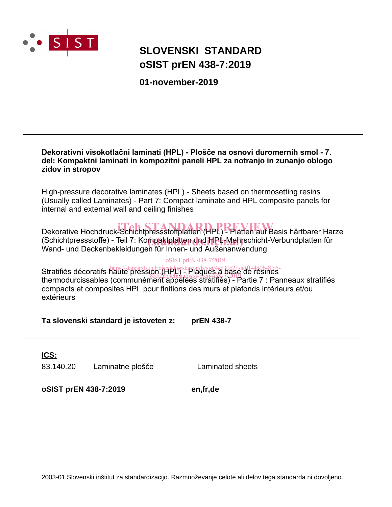

### **SLOVENSKI STANDARD oSIST prEN 438-7:2019**

**01-november-2019**

#### **Dekorativni visokotlačni laminati (HPL) - Plošče na osnovi duromernih smol - 7. del: Kompaktni laminati in kompozitni paneli HPL za notranjo in zunanjo oblogo zidov in stropov**

High-pressure decorative laminates (HPL) - Sheets based on thermosetting resins (Usually called Laminates) - Part 7: Compact laminate and HPL composite panels for internal and external wall and ceiling finishes

Dekorative Hochdruck-Schichtpressstoffplatten (HPL) - Platten auf Basis härtbarer Harze (Schichtpressstoffe) - Teil 7: Kompaktplatten und HPL-Mehrschicht-Verbundplatten für<br>Wand und Deckenhekleidungen für Innen und Außenanwendung Wand- und Deckenbekleidungen für Innen- und Außenanwendung

#### oSIST prEN 438-7:2019

Stratifiés décoratifs https://standards.jteh.ai/catalog/standards/sist/4ee30c21-adf1-4d0b-8fd5-<br>Stratifiés décoratifs haute pression (HPL) - plaques à pase de résines on almes decoratifs nadie pressi<u>val a la partitive et a</u> pagg de résilies<br>thermodurcissables (communément appelées stratifiés) - Partie 7 : Panneaux stratifiés compacts et composites HPL pour finitions des murs et plafonds intérieurs et/ou extérieurs

**Ta slovenski standard je istoveten z: prEN 438-7**

83.140.20 Laminatne plošče Laminated sheets **ICS:**

**oSIST prEN 438-7:2019 en,fr,de**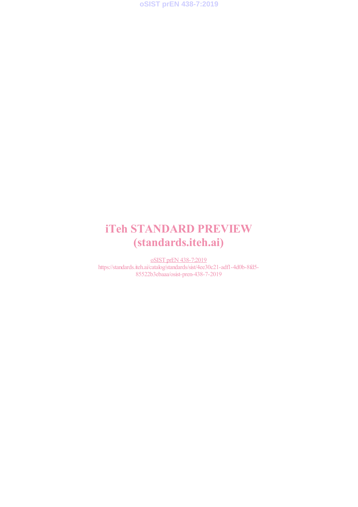

# iTeh STANDARD PREVIEW (standards.iteh.ai)

oSIST prEN 438-7:2019 https://standards.iteh.ai/catalog/standards/sist/4ee30c21-adf1-4d0b-8fd5- 85522b3ebaaa/osist-pren-438-7-2019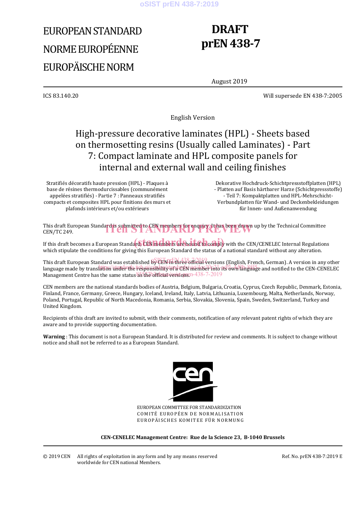

# EUROPEAN STANDARD NORME EUROPÉENNE EUROPÄISCHE NORM

# **DRAFT prEN 438-7**

August 2019

ICS 83.140.20 Will supersede EN 438-7:2005

English Version

### High-pressure decorative laminates (HPL) - Sheets based on thermosetting resins (Usually called Laminates) - Part 7: Compact laminate and HPL composite panels for internal and external wall and ceiling finishes

Stratifiés décoratifs haute pression (HPL) - Plaques à base de résines thermodurcissables (communément appelées stratifiés) - Partie 7 : Panneaux stratifiés compacts et composites HPL pour finitions des murs et plafonds intérieurs et/ou extérieurs

 Dekorative Hochdruck-Schichtpressstoffplatten (HPL) - Platten auf Basis härtbarer Harze (Schichtpressstoffe) - Teil 7: Kompaktplatten und HPL-Mehrschicht-Verbundplatten für Wand- und Deckenbekleidungen für Innen- und Außenanwendung

This draft European Standard is submitted to CEN members for enquiry. It has been drawn up by the Technical Committee CEN/TC 249. CEN/TC 249.

If this draft becomes a European Standard, CEN members are bound to comply with the CEN/CENELEC Internal Regulations which stipulate the conditions for giving this European Standard the status of a national standard without any alteration.

This draft European Standard was established by CEN in three official versions (English, French, German). A version in any other language made by transl<del>ation under the responsibility or a center is one of the its own language</del> and notified to the CEN-CENELEC Management Centre has the same status as the official versions.n-438-7-2019

CEN members are the national standards bodies of Austria, Belgium, Bulgaria, Croatia, Cyprus, Czech Republic, Denmark, Estonia, Finland, France, Germany, Greece, Hungary, Iceland, Ireland, Italy, Latvia, Lithuania, Luxembourg, Malta, Netherlands, Norway, Poland, Portugal, Republic of North Macedonia, Romania, Serbia, Slovakia, Slovenia, Spain, Sweden, Switzerland, Turkey and United Kingdom.

Recipients of this draft are invited to submit, with their comments, notification of any relevant patent rights of which they are aware and to provide supporting documentation.

**Warning** : This document is not a European Standard. It is distributed for review and comments. It is subject to change without notice and shall not be referred to as a European Standard.



EUROPEAN COMMITTEE FOR STANDARDIZATION COMITÉ EUROPÉEN DE NORMALISATION EUROPÄISCHES KOMITEE FÜR NORMUNG

**CEN-CENELEC Management Centre: Rue de la Science 23, B-1040 Brussels** 

© 2019 CEN All rights of exploitation in any form and by any means reserved worldwide for CEN national Members.

Ref. No. prEN 438-7:2019 E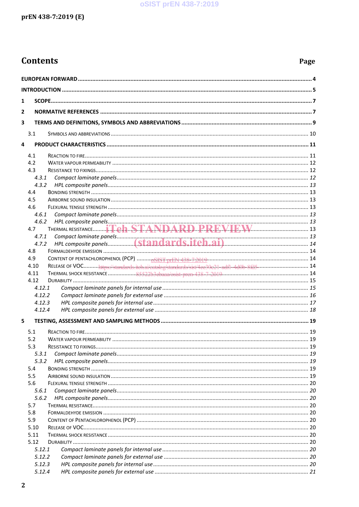### **Contents**

#### Page

| 1 |      |                  |  |  |
|---|------|------------------|--|--|
| 2 |      |                  |  |  |
|   |      |                  |  |  |
| 3 |      |                  |  |  |
|   | 3.1  |                  |  |  |
| 4 |      |                  |  |  |
|   | 4.1  |                  |  |  |
|   | 4.2  |                  |  |  |
|   | 4.3  |                  |  |  |
|   |      | 4.3.1            |  |  |
|   |      | 4.3.2            |  |  |
|   | 4.4  |                  |  |  |
|   | 4.5  |                  |  |  |
|   | 4.6  |                  |  |  |
|   |      | 4.6.1            |  |  |
|   |      | 4.6.2            |  |  |
|   | 4.7  |                  |  |  |
|   |      | 4.7.1            |  |  |
|   |      | 4.7.2            |  |  |
|   | 4.8  |                  |  |  |
|   | 4.9  |                  |  |  |
|   | 4.10 |                  |  |  |
|   | 4.11 |                  |  |  |
|   | 4.12 |                  |  |  |
|   |      | 4.12.1           |  |  |
|   |      | 4.12.2           |  |  |
|   |      | 4.12.3           |  |  |
|   |      | 4.12.4           |  |  |
| 5 |      |                  |  |  |
|   | 5.1  |                  |  |  |
|   | 5.2  |                  |  |  |
|   | 5.3  |                  |  |  |
|   |      | 5.3.1            |  |  |
|   |      | 5.3.2            |  |  |
|   | 5.4  |                  |  |  |
|   | 5.5  |                  |  |  |
|   | 5.6  |                  |  |  |
|   |      | 5.6.1            |  |  |
|   |      | 5.6.2            |  |  |
|   | 5.7  |                  |  |  |
|   | 5.8  |                  |  |  |
|   | 5.9  |                  |  |  |
|   | 5.10 |                  |  |  |
|   | 5.11 |                  |  |  |
|   | 5.12 |                  |  |  |
|   |      | 5.12.1<br>5.12.2 |  |  |
|   |      | 5.12.3           |  |  |
|   |      | 5.12.4           |  |  |
|   |      |                  |  |  |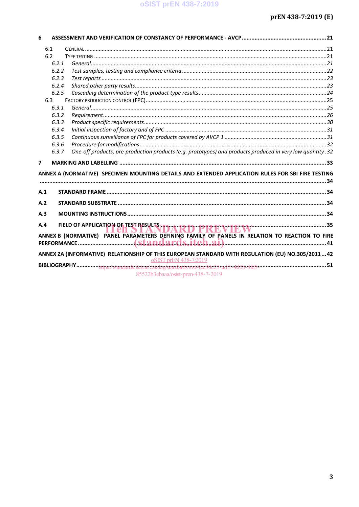| 6              |       |                                                                                                                                                                                                                                |  |
|----------------|-------|--------------------------------------------------------------------------------------------------------------------------------------------------------------------------------------------------------------------------------|--|
| 6.1            |       |                                                                                                                                                                                                                                |  |
| 6.2            |       |                                                                                                                                                                                                                                |  |
|                | 6.2.1 |                                                                                                                                                                                                                                |  |
|                | 6.2.2 |                                                                                                                                                                                                                                |  |
|                | 6.2.3 |                                                                                                                                                                                                                                |  |
|                | 6.2.4 |                                                                                                                                                                                                                                |  |
|                | 6.2.5 |                                                                                                                                                                                                                                |  |
|                | 6.3   |                                                                                                                                                                                                                                |  |
|                | 6.3.1 |                                                                                                                                                                                                                                |  |
|                | 6.3.2 |                                                                                                                                                                                                                                |  |
|                | 6.3.3 |                                                                                                                                                                                                                                |  |
|                | 6.3.4 |                                                                                                                                                                                                                                |  |
|                | 6.3.5 |                                                                                                                                                                                                                                |  |
|                | 6.3.6 |                                                                                                                                                                                                                                |  |
|                | 6.3.7 | One-off products, pre-production products (e.g. prototypes) and products produced in very low quantity .32                                                                                                                     |  |
| $\overline{7}$ |       |                                                                                                                                                                                                                                |  |
|                |       |                                                                                                                                                                                                                                |  |
|                |       | ANNEX A (NORMATIVE) SPECIMEN MOUNTING DETAILS AND EXTENDED APPLICATION RULES FOR SBI FIRE TESTING                                                                                                                              |  |
|                |       |                                                                                                                                                                                                                                |  |
| A.1            |       |                                                                                                                                                                                                                                |  |
| A.2            |       |                                                                                                                                                                                                                                |  |
| A.3            |       |                                                                                                                                                                                                                                |  |
|                |       |                                                                                                                                                                                                                                |  |
| A.4            |       | FIELD OF APPLICATION OF TEST RESULTS TO A RD PREVIEW THE WARD TO A RAND A RUN WARD TO A RUN TO A RUN WARD TO A RUN TO A RUN TO A RUN TO A RUN TO A RUN TO A RUN TO A RUN TO A RUN TO A RUN TO A RUN TO A RUN TO A RUN TO A RUN |  |
|                |       | ANNEX B (NORMATIVE) PANEL PARAMETERS DEFINING FAMILY OF PANELS IN RELATION TO REACTION TO FIRE                                                                                                                                 |  |
|                |       |                                                                                                                                                                                                                                |  |
|                |       |                                                                                                                                                                                                                                |  |
|                |       | ANNEX ZA (INFORMATIVE) RELATIONSHIP OF THIS EUROPEAN STANDARD WITH REGULATION (EU) NO.305/201142<br>oSIST prEN 438-7:2019                                                                                                      |  |
|                |       |                                                                                                                                                                                                                                |  |
|                |       | 85522b3ebaaa/osist-pren-438-7-2019                                                                                                                                                                                             |  |
|                |       |                                                                                                                                                                                                                                |  |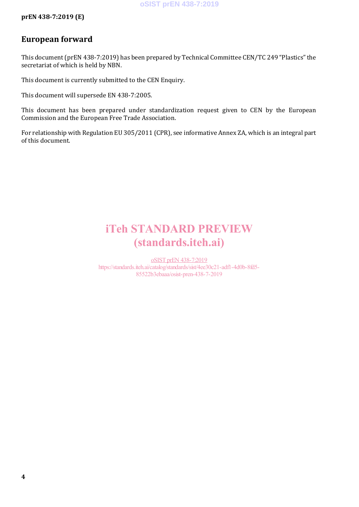**prEN 438-7:2019 (E)**

#### **European forward**

This document (prEN 438-7:2019) has been prepared by Technical Committee CEN/TC 249 "Plastics" the secretariat of which is held by NBN.

This document is currently submitted to the CEN Enquiry.

This document will supersede EN 438-7:2005.

This document has been prepared under standardization request given to CEN by the European Commission and the European Free Trade Association.

For relationship with Regulation EU 305/2011 (CPR), see informative Annex ZA, which is an integral part of this document.

# iTeh STANDARD PREVIEW (standards.iteh.ai)

oSIST prEN 438-7:2019 https://standards.iteh.ai/catalog/standards/sist/4ee30c21-adf1-4d0b-8fd5- 85522b3ebaaa/osist-pren-438-7-2019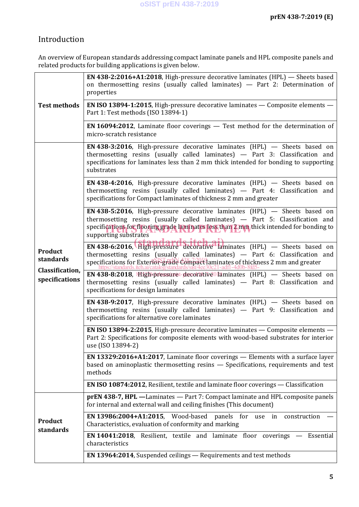### Introduction

An overview of European standards addressing compact laminate panels and HPL composite panels and related products for building applications is given below.

|                                         | EN 438-2:2016+A1:2018, High-pressure decorative laminates $(HPL)$ — Sheets based<br>on thermosetting resins (usually called laminates) - Part 2: Determination of<br>properties                                                                                                                                               |
|-----------------------------------------|-------------------------------------------------------------------------------------------------------------------------------------------------------------------------------------------------------------------------------------------------------------------------------------------------------------------------------|
| <b>Test methods</b>                     | <b>EN ISO 13894-1:2015</b> , High-pressure decorative laminates $-$ Composite elements $-$<br>Part 1: Test methods (ISO 13894-1)                                                                                                                                                                                              |
|                                         | EN 16094:2012, Laminate floor coverings $-$ Test method for the determination of<br>micro-scratch resistance                                                                                                                                                                                                                  |
|                                         | EN 438-3:2016, High-pressure decorative laminates $(HPL)$ - Sheets based on<br>thermosetting resins (usually called laminates) - Part 3: Classification and<br>specifications for laminates less than 2 mm thick intended for bonding to supporting<br>substrates                                                             |
|                                         | <b>EN 438-4:2016</b> , High-pressure decorative laminates $(HPL)$ — Sheets based on<br>thermosetting resins (usually called laminates) - Part 4: Classification and<br>specifications for Compact laminates of thickness 2 mm and greater                                                                                     |
|                                         | EN 438-5:2016, High-pressure decorative laminates $(HPL)$ - Sheets based on<br>thermosetting resins (usually called laminates) - Part 5: Classification and<br>specifications for flooring grade laminates less than 2 mm thick intended for bonding to<br>supporting substrates                                              |
| Product<br>standards<br>Classification, | EN 438-6:2016, High-pressure decorative laminates $(HPL)$ - Sheets based on<br>thermosetting resins (usually called laminates) - Part 6: Classification and<br>specifications for Exterior-grade Compact Januardes of thickness 2 mm and greater<br>https://standards.iteh.ai/catalog/standards/sist/4ee30c21-adf1-4d0b-8fd5- |
| specifications                          | EN 438-8:2018, High-pressuret-decorative laminates (HPL) $-$ Sheets based on<br>thermosetting resins (usually called laminates) — Part 8: Classification and<br>specifications for design laminates                                                                                                                           |
|                                         | EN 438-9:2017, High-pressure decorative laminates $(HPL)$ - Sheets based on<br>thermosetting resins (usually called laminates) — Part 9: Classification and<br>specifications for alternative core laminates                                                                                                                  |
|                                         | <b>EN ISO 13894-2:2015</b> , High-pressure decorative laminates $-$ Composite elements $-$<br>Part 2: Specifications for composite elements with wood-based substrates for interior<br>use (ISO 13894-2)                                                                                                                      |
|                                         | EN 13329:2016+A1:2017, Laminate floor coverings $-$ Elements with a surface layer<br>based on aminoplastic thermosetting resins - Specifications, requirements and test<br>methods                                                                                                                                            |
|                                         | EN ISO 10874:2012, Resilient, textile and laminate floor coverings - Classification                                                                                                                                                                                                                                           |
|                                         | prEN 438-7, HPL -Laminates - Part 7: Compact laminate and HPL composite panels<br>for internal and external wall and ceiling finishes (This document)                                                                                                                                                                         |
| <b>Product</b><br>standards             | EN 13986:2004+A1:2015, Wood-based panels for use in construction<br>Characteristics, evaluation of conformity and marking                                                                                                                                                                                                     |
|                                         | EN 14041:2018, Resilient, textile and laminate floor coverings - Essential<br>characteristics                                                                                                                                                                                                                                 |
|                                         | EN 13964:2014, Suspended ceilings - Requirements and test methods                                                                                                                                                                                                                                                             |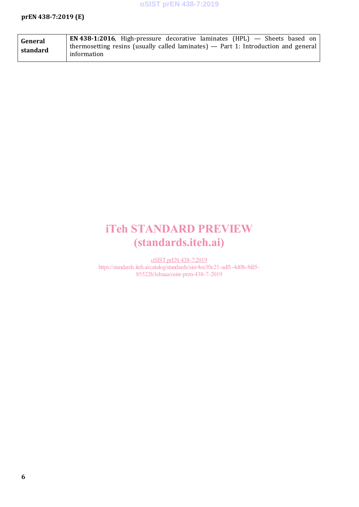#### **prEN 438-7:2019 (E)**

| General  | <b>EN 438-1:2016</b> , High-pressure decorative laminates $(HPL)$ — Sheets based on               |
|----------|---------------------------------------------------------------------------------------------------|
| standard | thermosetting resins (usually called laminates) — Part 1: Introduction and general<br>information |
|          |                                                                                                   |

# iTeh STANDARD PREVIEW (standards.iteh.ai)

oSIST prEN 438-7:2019 https://standards.iteh.ai/catalog/standards/sist/4ee30c21-adf1-4d0b-8fd5- 85522b3ebaaa/osist-pren-438-7-2019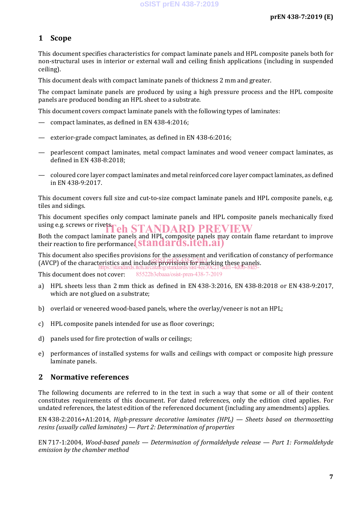#### **1 Scope**

This document specifies characteristics for compact laminate panels and HPL composite panels both for non-structural uses in interior or external wall and ceiling finish applications (including in suspended ceiling).

This document deals with compact laminate panels of thickness 2 mm and greater.

The compact laminate panels are produced by using a high pressure process and the HPL composite panels are produced bonding an HPL sheet to a substrate.

This document covers compact laminate panels with the following types of laminates:

- compact laminates, as defined in EN 438-4:2016;
- exterior-grade compact laminates, as defined in EN 438-6:2016;
- pearlescent compact laminates, metal compact laminates and wood veneer compact laminates, as defined in EN 438-8:2018;
- coloured core layer compact laminates and metal reinforced core layer compact laminates, as defined in EN 438-9:2017.

This document covers full size and cut-to-size compact laminate panels and HPL composite panels, e.g. tiles and sidings.

This document specifies only compact laminate panels and HPL composite panels mechanically fixed using e.g. screws or rivets.<br>Reth the sermest leminate namels and UPL composite namels way sentein fla

Both the compact laminate panels and HPL composite panels may contain flame retardant to improve bout the compact familiate parels and fire composite parels that<br>their reaction to fire performance. **Standards.iteh.ai**)

This document also specifies provisions for the assessment and verification of constancy of performance This document also specifies provisions for the characteristics and includes provisions for marking these panels. https://standards.iteh.ai/catalog/standards/sist/4ee30c21-adf1-4d0b-8fd5-

This document does not cover: 85522b3ebaaa/osist-pren-438-7-2019

- a) HPL sheets less than 2 mm thick as defined in EN 438-3:2016, EN 438-8:2018 or EN 438-9:2017, which are not glued on a substrate;
- b) overlaid or veneered wood-based panels, where the overlay/veneer is not an HPL;
- c) HPL composite panels intended for use as floor coverings;
- d) panels used for fire protection of walls or ceilings;
- e) performances of installed systems for walls and ceilings with compact or composite high pressure laminate panels.

#### **2 Normative references**

The following documents are referred to in the text in such a way that some or all of their content constitutes requirements of this document. For dated references, only the edition cited applies. For undated references, the latest edition of the referenced document (including any amendments) applies.

EN 438-2:2016+A1:2014, *High-pressure decorative laminates (HPL) — Sheets based on thermosetting resins (usually called laminates) — Part 2: Determination of properties*

EN 717-1:2004, *Wood-based panels — Determination of formaldehyde release — Part 1: Formaldehyde emission by the chamber method*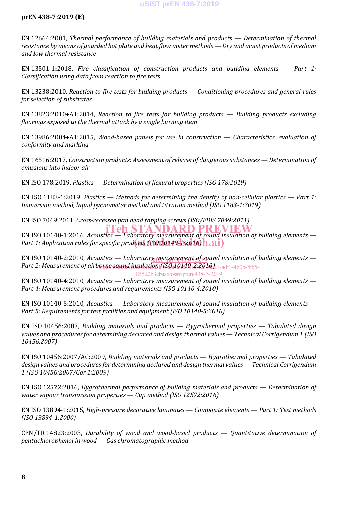#### **prEN 438-7:2019 (E)**

EN 12664:2001, *Thermal performance of building materials and products — Determination of thermal resistance by means of guarded hot plate and heat flow meter methods — Dry and moist products of medium and low thermal resistance*

EN 13501-1:2018, *Fire classification of construction products and building elements — Part 1: Classification using data from reaction to fire tests*

EN 13238:2010, *Reaction to fire tests for building products — Conditioning procedures and general rules for selection of substrates*

EN 13823:2010+A1:2014, *Reaction to fire tests for building products — Building products excluding floorings exposed to the thermal attack by a single burning item*

EN 13986:2004+A1:2015, *Wood-based panels for use in construction — Characteristics, evaluation of conformity and marking*

EN 16516:2017, *Construction products: Assessment of release of dangerous substances — Determination of emissions into indoor air*

EN ISO 178:2019, *Plastics — Determination of flexural properties (ISO 178:2019)*

EN ISO 1183-1:2019, *Plastics — Methods for determining the density of non-cellular plastics — Part 1: Immersion method, liquid pycnometer method and titration method (ISO 1183-1:2019)*

EN ISO 7049:2011, *Cross-recessed pan head tapping screws (ISO/FDIS 7049:2011)*

EN ISO 10140-1:2016, *Acoustics — Laboratory measurement of sound insulation of building elements — Part 1: Application rules for specific products (ISO 00140-1:2016)* h.ai) iTeh STANDARD PREVIEW

EN ISO 10140-2:2010, Acoustics — Laboratory measurement of sound insulation of building elements —  $\emph{Part 2: Measurement of airbargge, sound-dinsulation (lSSQ_110140+2:2010b_1-{\rm adfl-4d0b-8fd5-1}).}$ 

85522b3ebaaa/osist-pren-438-7-2019

EN ISO 10140-4:2010, *Acoustics — Laboratory measurement of sound insulation of building elements — Part 4: Measurement procedures and requirements (ISO 10140-4:2010)*

EN ISO 10140-5:2010, *Acoustics — Laboratory measurement of sound insulation of building elements — Part 5: Requirements for test facilities and equipment (ISO 10140-5:2010)*

EN ISO 10456:2007, *Building materials and products — Hygrothermal properties — Tabulated design values and procedures for determining declared and design thermal values — Technical Corrigendum 1 (ISO 10456:2007)*

EN ISO 10456:2007/AC:2009, *Building materials and products — Hygrothermal properties — Tabulated design values and procedures for determining declared and design thermal values — Technical Corrigendum 1 (ISO 10456:2007/Cor 1:2009)*

EN ISO 12572:2016, *Hygrothermal performance of building materials and products — Determination of water vapour transmission properties — Cup method (ISO 12572:2016)*

EN ISO 13894-1:2015, *High-pressure decorative laminates — Composite elements — Part 1: Test methods (ISO 13894-1:2000)*

CEN/TR 14823:2003, *Durability of wood and wood-based products — Quantitative determination of pentachlorophenol in wood — Gas chromatographic method*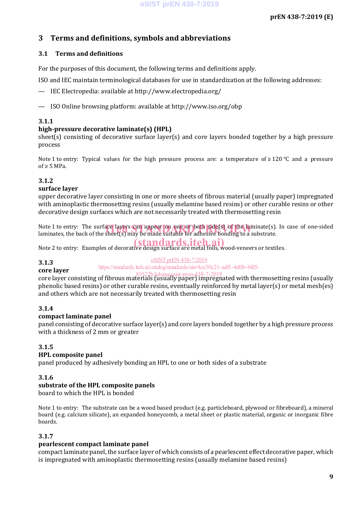### **3 Terms and definitions, symbols and abbreviations**

#### **3.1 Terms and definitions**

For the purposes of this document, the following terms and definitions apply.

ISO and IEC maintain terminological databases for use in standardization at the following addresses:

- IEC Electropedia: available at http://www.electropedia.org/
- ISO Online browsing platform: available at http://www.iso.org/obp

#### **3.1.1**

#### **high-pressure decorative laminate(s) (HPL)**

sheet(s) consisting of decorative surface layer(s) and core layers bonded together by a high pressure process

Note 1 to entry: Typical values for the high pressure process are: a temperature of ≥ 120 °C and a pressure of  $≥$  5 MPa.

#### **3.1.2**

#### **surface layer**

upper decorative layer consisting in one or more sheets of fibrous material (usually paper) impregnated with aminoplastic thermosetting resins (usually melamine based resins) or other curable resins or other decorative design surfaces which are not necessarily treated with thermosetting resin

Note 1 to entry: The surface layers can appear on one or both side(s) of the laminate(s). In case of one-sided<br>laminates the back of the sheet(s) may be made suitable for adhesive bonding to a substrate. laminates, the back of the sheet(s) may be made suitable for adhesive bonding to a substrate.

(standards.iteh.ai)

oSIST prEN 438-7:2019

Note 2 to entry: Examples of decorative design surface are metal foils, wood-veneers or textiles.

#### **3.1.3**

**core layer** https://standards.iteh.ai/catalog/standards/sist/4ee30c21-adf1-4d0b-8fd5-

core layer consisting of fibrous materials (usually paper) impregnated with thermosetting resins (usually phenolic based resins) or other curable resins, eventually reinforced by metal layer(s) or metal mesh(es) and others which are not necessarily treated with thermosetting resin 85522b3ebaaa/osist-pren-438-7-2019

#### **3.1.4**

#### **compact laminate panel**

panel consisting of decorative surface layer(s) and core layers bonded together by a high pressure process with a thickness of 2 mm or greater

#### **3.1.5**

#### **HPL composite panel**

panel produced by adhesively bonding an HPL to one or both sides of a substrate

#### **3.1.6**

#### **substrate of the HPL composite panels**

board to which the HPL is bonded

Note 1 to entry: The substrate can be a wood based product (e.g. particleboard, plywood or fibreboard), a mineral board (e.g. calcium silicate), an expanded honeycomb, a metal sheet or plastic material, organic or inorganic fibre boards.

#### **3.1.7**

#### **pearlescent compact laminate panel**

compact laminate panel, the surface layer of which consists of a pearlescent effect decorative paper, which is impregnated with aminoplastic thermosetting resins (usually melamine based resins)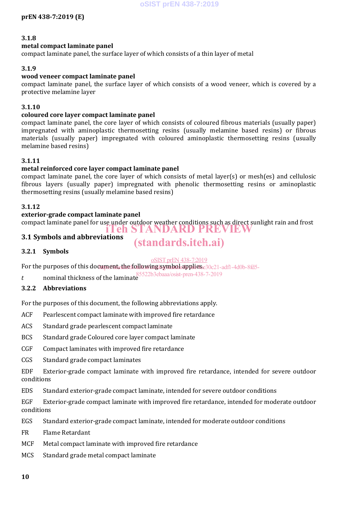#### **3.1.8**

#### **metal compact laminate panel**

compact laminate panel, the surface layer of which consists of a thin layer of metal

#### **3.1.9**

#### **wood veneer compact laminate panel**

compact laminate panel, the surface layer of which consists of a wood veneer, which is covered by a protective melamine layer

#### **3.1.10**

#### **coloured core layer compact laminate panel**

compact laminate panel, the core layer of which consists of coloured fibrous materials (usually paper) impregnated with aminoplastic thermosetting resins (usually melamine based resins) or fibrous materials (usually paper) impregnated with coloured aminoplastic thermosetting resins (usually melamine based resins)

#### **3.1.11**

#### **metal reinforced core layer compact laminate panel**

compact laminate panel, the core layer of which consists of metal layer(s) or mesh(es) and cellulosic fibrous layers (usually paper) impregnated with phenolic thermosetting resins or aminoplastic thermosetting resins (usually melamine based resins)

#### **3.1.12**

#### **exterior-grade compact laminate panel**

compact laminate panel for use under outdoor weather conditions such as direct sunlight rain and frost 'eh STANDARD PREVIEW

#### **3.1 Symbols and abbreviations**

### (standards.iteh.ai)

#### **3.2.1 Symbols**

#### oSIST prEN 438-7:2019

For the purposes of this document, the following symbol applies  $\mathrm{e}30\mathrm{c}21\mathrm{\text{-}addb\text{-}8fd5\text{-}}}$ 

 $t$  nominal thickness of the laminat $\frac{85522b3ebaaa/osist-pren-438-7-2019}{2}$ 

#### **3.2.2 Abbreviations**

For the purposes of this document, the following abbreviations apply.

- ACF Pearlescent compact laminate with improved fire retardance
- ACS Standard grade pearlescent compact laminate
- BCS Standard grade Coloured core layer compact laminate
- CGF Compact laminates with improved fire retardance
- CGS Standard grade compact laminates

EDF Exterior-grade compact laminate with improved fire retardance, intended for severe outdoor conditions

EDS Standard exterior-grade compact laminate, intended for severe outdoor conditions

EGF Exterior-grade compact laminate with improved fire retardance, intended for moderate outdoor conditions

- EGS Standard exterior-grade compact laminate, intended for moderate outdoor conditions
- FR Flame Retardant
- MCF Metal compact laminate with improved fire retardance
- MCS Standard grade metal compact laminate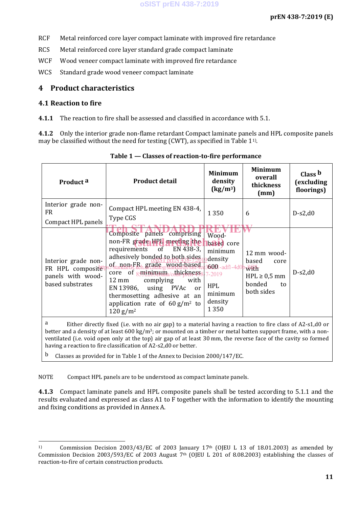- RCF Metal reinforced core layer compact laminate with improved fire retardance
- RCS Metal reinforced core layer standard grade compact laminate
- WCF Wood veneer compact laminate with improved fire retardance
- WCS Standard grade wood veneer compact laminate

#### **4 Product characteristics**

#### **4.1 Reaction to fire**

**4.1.1** The reaction to fire shall be assessed and classified in accordance with 5.1.

**4.1.2** Only the interior grade non-flame retardant Compact laminate panels and HPL composite panels may be classified without the need for testing (CWT), as specified in Table 11).

| Product <sup>a</sup>                                                              | <b>Product detail</b>                                                                                                                                                                                                                                                                                                                                               | <b>Minimum</b><br>density<br>(kg/m <sup>3</sup> )                                                                      | <b>Minimum</b><br>overall<br>thickness<br>(mm)                                  | Class $b$<br>(excluding<br>floorings) |
|-----------------------------------------------------------------------------------|---------------------------------------------------------------------------------------------------------------------------------------------------------------------------------------------------------------------------------------------------------------------------------------------------------------------------------------------------------------------|------------------------------------------------------------------------------------------------------------------------|---------------------------------------------------------------------------------|---------------------------------------|
| Interior grade non-<br>FR<br>Compact HPL panels                                   | Compact HPL meeting EN 438-4,<br>Type CGS                                                                                                                                                                                                                                                                                                                           | 1 3 5 0                                                                                                                | 6                                                                               | $D-s2,d0$                             |
| Interior grade non-<br>FR HPL compositet<br>panels with wood-<br>based substrates | Composite panels comprising<br>non-FR grade HPL meeting the<br>requirements of EN 438-3,<br>adhesively bonded to both sides<br>of non-FR, grade wood-based<br>$\frac{1}{8}$ core of $\frac{1}{8}$ minimum<br>$12 \text{ mm}$<br>complying<br>with<br>EN 13986, using PVAc<br>or<br>thermosetting adhesive at an<br>application rate of $60 g/m^2$ to<br>$120 g/m^2$ | Wood-<br>based core<br>minimum<br>density<br>3600-adf1-4d0b-8ft1<br>7-2019<br><b>HPL</b><br>minimum<br>density<br>1350 | 12 mm wood-<br>based<br>core<br>$HPL \geq 0.5$ mm<br>bonded<br>to<br>both sides | $D-s2,d0$                             |

#### **Table 1 — Classes of reaction-to-fire performance**

a Either directly fixed (i.e. with no air gap) to a material having a reaction to fire class of A2-s1,d0 or better and a density of at least  $600 \text{ kg/m}^3$ ; or mounted on a timber or metal batten support frame, with a nonventilated (i.e. void open only at the top) air gap of at least 30 mm, the reverse face of the cavity so formed having a reaction to fire classification of A2-s2,d0 or better.

b Classes as provided for in Table 1 of the Annex to Decision 2000/147/EC.

NOTE Compact HPL panels are to be understood as compact laminate panels.

**4.1.3** Compact laminate panels and HPL composite panels shall be tested according to 5.1.1 and the results evaluated and expressed as class A1 to F together with the information to identify the mounting and fixing conditions as provided in Annex A.

<sup>&</sup>lt;sup>1)</sup> Commission Decision 2003/43/EC of 2003 January 17<sup>th</sup> (OJEU L 13 of 18.01.2003) as amended by Commission Decision 2003/593/EC of 2003 August 7<sup>th</sup> (OJEU L 201 of 8.08.2003) establishing the classes of reaction-to-fire of certain construction products.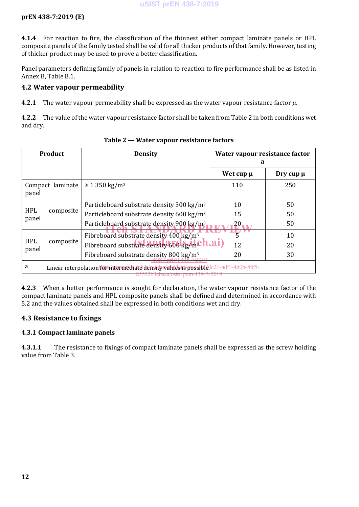**4.1.4** For reaction to fire, the classification of the thinnest either compact laminate panels or HPL composite panels of the family tested shall be valid for all thicker products of that family.However, testing of thicker product may be used to prove a better classification.

Panel parameters defining family of panels in relation to reaction to fire performance shall be as listed in Annex B, Table B.1.

#### **4.2 Water vapour permeability**

**4.2.1** The water vapour permeability shall be expressed as the water vapour resistance factor *μ*.

**4.2.2** The value of the water vapour resistance factor shall be taken from Table 2 in both conditions wet and dry.

| <b>Product</b>                                                                               | <b>Density</b>                                        | Water vapour resistance factor<br>a |               |
|----------------------------------------------------------------------------------------------|-------------------------------------------------------|-------------------------------------|---------------|
|                                                                                              |                                                       | Wet cup $\mu$                       | Dry cup $\mu$ |
| Compact laminate<br>panel                                                                    | $\geq 1350 \text{ kg/m}^3$                            | 110                                 | 250           |
|                                                                                              | Particleboard substrate density 300 kg/m <sup>3</sup> | 10                                  | 50            |
| <b>HPL</b><br>composite<br>panel                                                             | Particleboard substrate density 600 kg/m <sup>3</sup> | 15                                  | 50            |
|                                                                                              | Particleboard substrate density 900 kg/m <sup>3</sup> | 20.                                 | 50            |
|                                                                                              | Fibreboard substrate density 400 kg/m <sup>3</sup>    | 5                                   | 10            |
| <b>HPL</b><br>composite<br>panel                                                             | Fibreboard substrate density 600 kg/meh               | 12                                  | 20            |
|                                                                                              | Fibreboard substrate density 800 kg/m <sup>3</sup>    | 20                                  | 30            |
| a<br>Linear interpolation for sintermediate density systems rispossible 0c21-adf1-4d0b-8fd5- |                                                       |                                     |               |

**Table 2 — Water vapour resistance factors**

**4.2.3** When a better performance is sought for declaration, the water vapour resistance factor of the compact laminate panels and HPL composite panels shall be defined and determined in accordance with 5.2 and the values obtained shall be expressed in both conditions wet and dry.

#### **4.3 Resistance to fixings**

#### **4.3.1 Compact laminate panels**

**4.3.1.1** The resistance to fixings of compact laminate panels shall be expressed as the screw holding value from Table 3.